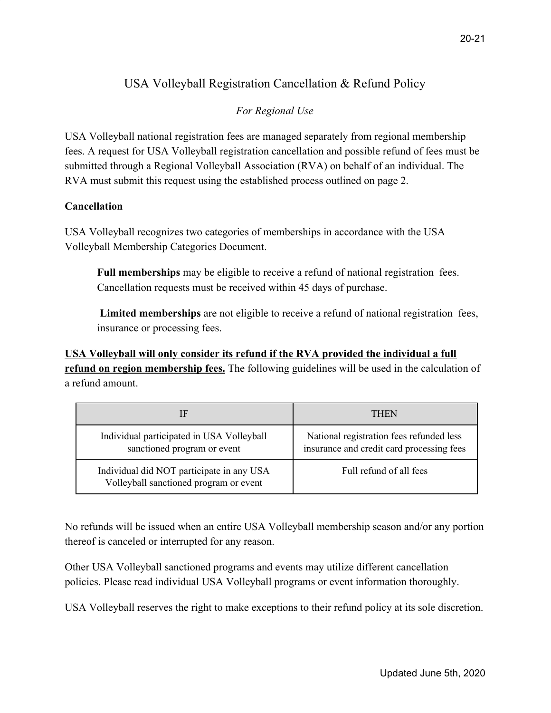## USA Volleyball Registration Cancellation & Refund Policy

## *For Regional Use*

USA Volleyball national registration fees are managed separately from regional membership fees. A request for USA Volleyball registration cancellation and possible refund of fees must be submitted through a Regional Volleyball Association (RVA) on behalf of an individual. The RVA must submit this request using the established process outlined on page 2.

## **Cancellation**

USA Volleyball recognizes two categories of memberships in accordance with the USA Volleyball Membership Categories Document.

**Full memberships** may be eligible to receive a refund of national registration fees. Cancellation requests must be received within 45 days of purchase.

 **Limited memberships** are not eligible to receive a refund of national registration fees, insurance or processing fees.

**USA Volleyball will only consider its refund if the RVA provided the individual a full refund on region membership fees.** The following guidelines will be used in the calculation of a refund amount.

| ſF                                                                                  | THEN                                                                                  |
|-------------------------------------------------------------------------------------|---------------------------------------------------------------------------------------|
| Individual participated in USA Volleyball<br>sanctioned program or event            | National registration fees refunded less<br>insurance and credit card processing fees |
| Individual did NOT participate in any USA<br>Volleyball sanctioned program or event | Full refund of all fees                                                               |

No refunds will be issued when an entire USA Volleyball membership season and/or any portion thereof is canceled or interrupted for any reason.

Other USA Volleyball sanctioned programs and events may utilize different cancellation policies. Please read individual USA Volleyball programs or event information thoroughly.

USA Volleyball reserves the right to make exceptions to their refund policy at its sole discretion.